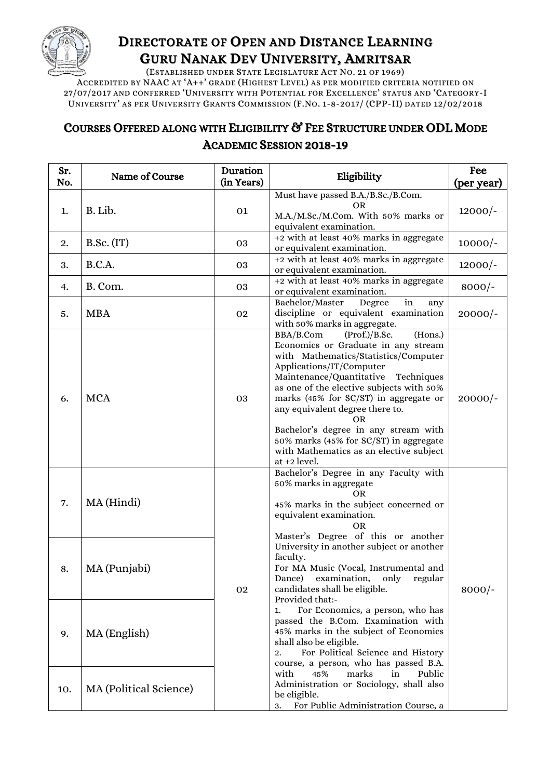

## DIRECTORATE OF OPEN AND DISTANCE LEARNING GURU NANAK DEV UNIVERSITY, AMRITSAR

(ESTABLISHED UNDER STATE LEGISLATURE ACT NO. 21 OF 1969)

ACCREDITED BY NAAC AT 'A++' GRADE (HIGHEST LEVEL) AS PER MODIFIED CRITERIA NOTIFIED ON 27/07/2017 AND CONFERRED 'UNIVERSITY WITH POTENTIAL FOR EXCELLENCE' STATUS AND 'CATEGORY-I UNIVERSITY' AS PER UNIVERSITY GRANTS COMMISSION (F.NO. 1-8-2017/ (CPP-II) DATED 12/02/2018

## COURSES OFFERED ALONG WITH ELIGIBILITY & FEE STRUCTURE UNDER ODL MODE ACADEMIC SESSION 2018-19

| Sr.<br>No. | Name of Course         | Duration<br>(in Years) | Eligibility                                                                                                                                                                                                                                                                                                                                                                                                                                                                  | Fee<br>(per year) |
|------------|------------------------|------------------------|------------------------------------------------------------------------------------------------------------------------------------------------------------------------------------------------------------------------------------------------------------------------------------------------------------------------------------------------------------------------------------------------------------------------------------------------------------------------------|-------------------|
| 1.         | B. Lib.                | 01                     | Must have passed B.A./B.Sc./B.Com.<br>OR<br>M.A./M.Sc./M.Com. With 50% marks or<br>equivalent examination.                                                                                                                                                                                                                                                                                                                                                                   | $12000/-$         |
| 2.         | B.Sc. (IT)             | 03                     | +2 with at least 40% marks in aggregate<br>or equivalent examination.                                                                                                                                                                                                                                                                                                                                                                                                        | $10000/-$         |
| 3.         | B.C.A.                 | 03                     | +2 with at least 40% marks in aggregate<br>or equivalent examination.                                                                                                                                                                                                                                                                                                                                                                                                        | $12000/-$         |
| 4.         | B. Com.                | 03                     | +2 with at least 40% marks in aggregate<br>or equivalent examination.                                                                                                                                                                                                                                                                                                                                                                                                        | $8000/-$          |
| 5.         | <b>MBA</b>             | 02                     | Bachelor/Master<br>Degree<br>in<br>any<br>discipline or equivalent examination<br>with 50% marks in aggregate.                                                                                                                                                                                                                                                                                                                                                               | $20000/-$         |
| 6.         | <b>MCA</b>             | 03                     | $(Prof.)/B.$ Sc.<br>BBA/B.Com<br>(Hons.)<br>Economics or Graduate in any stream<br>with Mathematics/Statistics/Computer<br>Applications/IT/Computer<br>Maintenance/Quantitative<br>Techniques<br>as one of the elective subjects with 50%<br>marks (45% for $SC/ST$ ) in aggregate or<br>any equivalent degree there to.<br>OR.<br>Bachelor's degree in any stream with<br>50% marks (45% for SC/ST) in aggregate<br>with Mathematics as an elective subject<br>at +2 level. | $20000/-$         |
| 7.         | MA (Hindi)             | 02                     | Bachelor's Degree in any Faculty with<br>50% marks in aggregate<br><b>OR</b><br>45% marks in the subject concerned or<br>equivalent examination.<br><b>OR</b><br>Master's Degree of this or another                                                                                                                                                                                                                                                                          | $8000/-$          |
| 8.         | MA (Punjabi)           |                        | University in another subject or another<br>faculty.<br>For MA Music (Vocal, Instrumental and<br>examination,<br>regular<br>only<br>Dance)<br>candidates shall be eligible.<br>Provided that:-                                                                                                                                                                                                                                                                               |                   |
| 9.         | MA (English)           |                        | For Economics, a person, who has<br>1.<br>passed the B.Com. Examination with<br>45% marks in the subject of Economics<br>shall also be eligible.<br>For Political Science and History<br>2.<br>course, a person, who has passed B.A.                                                                                                                                                                                                                                         |                   |
| 10.        | MA (Political Science) |                        | 45%<br>with<br>marks<br>Public<br>in<br>Administration or Sociology, shall also<br>be eligible.<br>For Public Administration Course, a<br>3.                                                                                                                                                                                                                                                                                                                                 |                   |